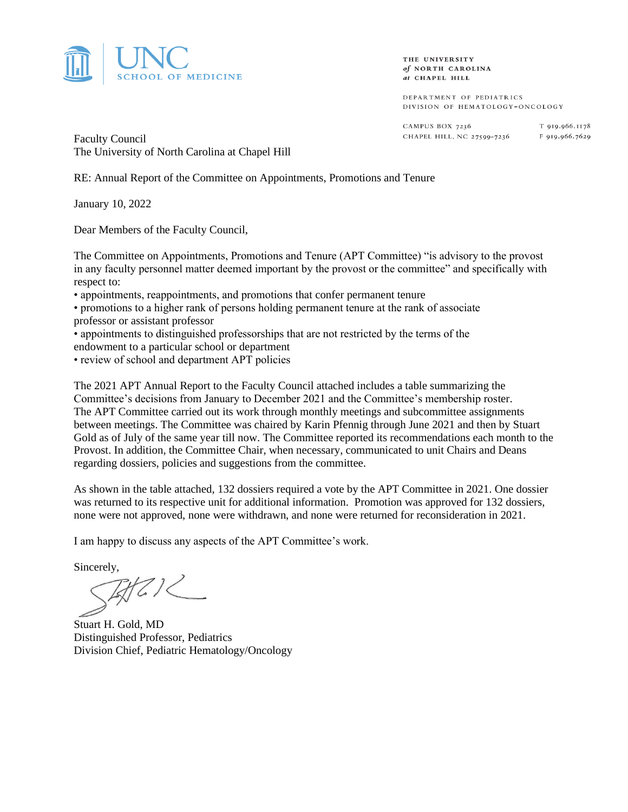

THE UNIVERSITY of NORTH CAROLINA at CHAPEL HILL

DEPARTMENT OF PEDIATRICS DIVISION OF HEMATOLOGY-ONCOLOGY

CAMPUS BOX 7236 CHAPEL HILL, NC 27599-7236

T 919.966.1178 F 919.966.7629

Faculty Council The University of North Carolina at Chapel Hill

RE: Annual Report of the Committee on Appointments, Promotions and Tenure

January 10, 2022

Dear Members of the Faculty Council,

The Committee on Appointments, Promotions and Tenure (APT Committee) "is advisory to the provost in any faculty personnel matter deemed important by the provost or the committee" and specifically with respect to:

• appointments, reappointments, and promotions that confer permanent tenure

• promotions to a higher rank of persons holding permanent tenure at the rank of associate professor or assistant professor

• appointments to distinguished professorships that are not restricted by the terms of the endowment to a particular school or department

• review of school and department APT policies

The 2021 APT Annual Report to the Faculty Council attached includes a table summarizing the Committee's decisions from January to December 2021 and the Committee's membership roster. The APT Committee carried out its work through monthly meetings and subcommittee assignments between meetings. The Committee was chaired by Karin Pfennig through June 2021 and then by Stuart Gold as of July of the same year till now. The Committee reported its recommendations each month to the Provost. In addition, the Committee Chair, when necessary, communicated to unit Chairs and Deans regarding dossiers, policies and suggestions from the committee.

As shown in the table attached, 132 dossiers required a vote by the APT Committee in 2021. One dossier was returned to its respective unit for additional information. Promotion was approved for 132 dossiers, none were not approved, none were withdrawn, and none were returned for reconsideration in 2021.

I am happy to discuss any aspects of the APT Committee's work.

Sincerely,<br> $\mathbb{Z}/\mathbb{Z}/\mathbb{Z}$ 

Stuart H. Gold, MD Distinguished Professor, Pediatrics Division Chief, Pediatric Hematology/Oncology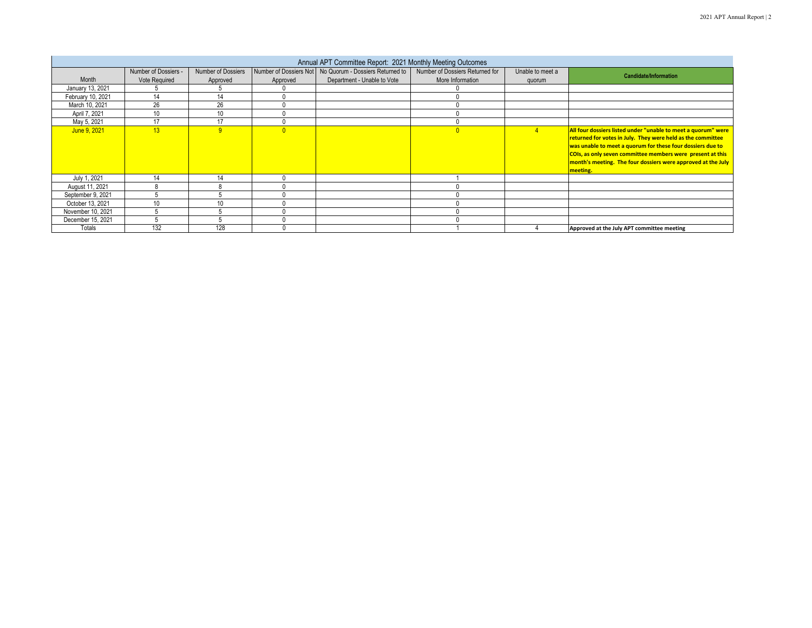| Annual APT Committee Report: 2021 Monthly Meeting Outcomes |                      |                    |          |                                                           |                                 |                  |                                                                                                                                                                                                                                                                                                                                      |  |  |  |
|------------------------------------------------------------|----------------------|--------------------|----------|-----------------------------------------------------------|---------------------------------|------------------|--------------------------------------------------------------------------------------------------------------------------------------------------------------------------------------------------------------------------------------------------------------------------------------------------------------------------------------|--|--|--|
|                                                            | Number of Dossiers - | Number of Dossiers |          | Number of Dossiers Not   No Quorum - Dossiers Returned to | Number of Dossiers Returned for | Unable to meet a |                                                                                                                                                                                                                                                                                                                                      |  |  |  |
| Month                                                      | <b>Vote Required</b> | Approved           | Approved | Department - Unable to Vote                               | More Information                | quorum           | <b>Candidate/Information</b>                                                                                                                                                                                                                                                                                                         |  |  |  |
| January 13, 2021                                           |                      |                    |          |                                                           |                                 |                  |                                                                                                                                                                                                                                                                                                                                      |  |  |  |
| February 10, 2021                                          | 14                   | 14                 |          |                                                           |                                 |                  |                                                                                                                                                                                                                                                                                                                                      |  |  |  |
| March 10, 2021                                             | 26                   | 26                 |          |                                                           |                                 |                  |                                                                                                                                                                                                                                                                                                                                      |  |  |  |
| April 7, 2021                                              | 10                   | 10                 |          |                                                           |                                 |                  |                                                                                                                                                                                                                                                                                                                                      |  |  |  |
| May 5, 2021                                                | 17                   | 17                 |          |                                                           |                                 |                  |                                                                                                                                                                                                                                                                                                                                      |  |  |  |
| June 9, 2021                                               | 13                   |                    | U        |                                                           | $\overline{0}$                  |                  | All four dossiers listed under "unable to meet a quorum" were<br>returned for votes in July. They were held as the committee<br>was unable to meet a quorum for these four dossiers due to<br>COIs, as only seven committee members were present at this<br>month's meeting. The four dossiers were approved at the July<br>meeting. |  |  |  |
| July 1, 2021                                               | 14                   | 14                 |          |                                                           |                                 |                  |                                                                                                                                                                                                                                                                                                                                      |  |  |  |
| August 11, 2021                                            |                      |                    |          |                                                           |                                 |                  |                                                                                                                                                                                                                                                                                                                                      |  |  |  |
| September 9, 2021                                          |                      |                    |          |                                                           |                                 |                  |                                                                                                                                                                                                                                                                                                                                      |  |  |  |
| October 13, 2021                                           | 10                   | 10                 |          |                                                           |                                 |                  |                                                                                                                                                                                                                                                                                                                                      |  |  |  |
| November 10, 2021                                          |                      |                    |          |                                                           |                                 |                  |                                                                                                                                                                                                                                                                                                                                      |  |  |  |
| December 15, 2021                                          |                      |                    |          |                                                           |                                 |                  |                                                                                                                                                                                                                                                                                                                                      |  |  |  |
| Totals                                                     | 132                  | 128                |          |                                                           |                                 |                  | Approved at the July APT committee meeting                                                                                                                                                                                                                                                                                           |  |  |  |